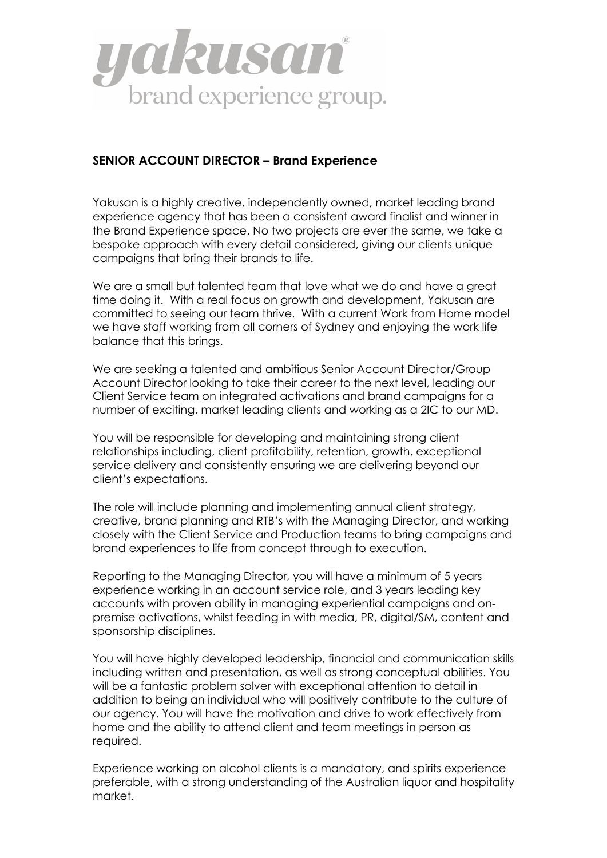

## **SENIOR ACCOUNT DIRECTOR – Brand Experience**

Yakusan is a highly creative, independently owned, market leading brand experience agency that has been a consistent award finalist and winner in the Brand Experience space. No two projects are ever the same, we take a bespoke approach with every detail considered, giving our clients unique campaigns that bring their brands to life.

We are a small but talented team that love what we do and have a great time doing it. With a real focus on growth and development, Yakusan are committed to seeing our team thrive. With a current Work from Home model we have staff working from all corners of Sydney and enjoying the work life balance that this brings.

We are seeking a talented and ambitious Senior Account Director/Group Account Director looking to take their career to the next level, leading our Client Service team on integrated activations and brand campaigns for a number of exciting, market leading clients and working as a 2IC to our MD.

You will be responsible for developing and maintaining strong client relationships including, client profitability, retention, growth, exceptional service delivery and consistently ensuring we are delivering beyond our client's expectations.

The role will include planning and implementing annual client strategy, creative, brand planning and RTB's with the Managing Director, and working closely with the Client Service and Production teams to bring campaigns and brand experiences to life from concept through to execution.

Reporting to the Managing Director, you will have a minimum of 5 years experience working in an account service role, and 3 years leading key accounts with proven ability in managing experiential campaigns and onpremise activations, whilst feeding in with media, PR, digital/SM, content and sponsorship disciplines.

You will have highly developed leadership, financial and communication skills including written and presentation, as well as strong conceptual abilities. You will be a fantastic problem solver with exceptional attention to detail in addition to being an individual who will positively contribute to the culture of our agency. You will have the motivation and drive to work effectively from home and the ability to attend client and team meetings in person as required.

Experience working on alcohol clients is a mandatory, and spirits experience preferable, with a strong understanding of the Australian liquor and hospitality market.